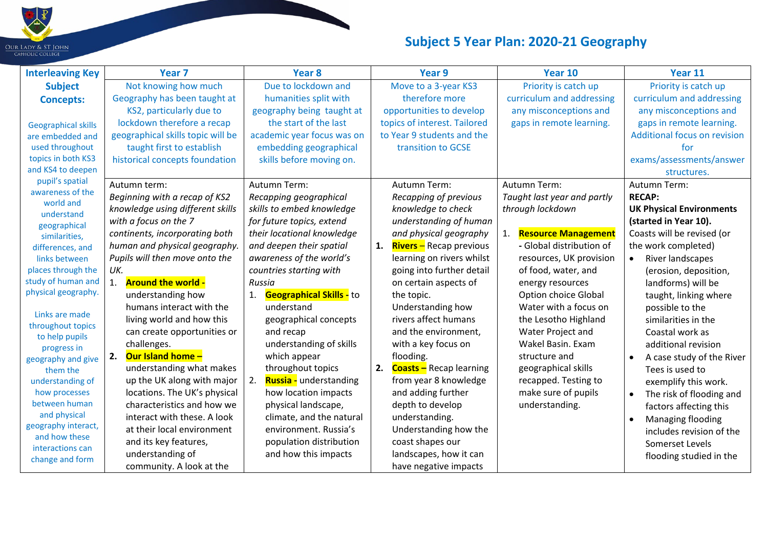

| <b>Interleaving Key</b>              | Year <sub>7</sub>                 | Year <sub>8</sub>                     | Year 9                               | Year 10                     | Year 11                                |
|--------------------------------------|-----------------------------------|---------------------------------------|--------------------------------------|-----------------------------|----------------------------------------|
| <b>Subject</b>                       | Not knowing how much              | Due to lockdown and                   | Move to a 3-year KS3                 | Priority is catch up        | Priority is catch up                   |
| <b>Concepts:</b>                     | Geography has been taught at      | humanities split with                 | therefore more                       | curriculum and addressing   | curriculum and addressing              |
|                                      | KS2, particularly due to          | geography being taught at             | opportunities to develop             | any misconceptions and      | any misconceptions and                 |
| <b>Geographical skills</b>           | lockdown therefore a recap        | the start of the last                 | topics of interest. Tailored         | gaps in remote learning.    | gaps in remote learning.               |
| are embedded and                     | geographical skills topic will be | academic year focus was on            | to Year 9 students and the           |                             | <b>Additional focus on revision</b>    |
| used throughout                      | taught first to establish         | embedding geographical                | transition to GCSE                   |                             | for                                    |
| topics in both KS3                   | historical concepts foundation    | skills before moving on.              |                                      |                             | exams/assessments/answer               |
| and KS4 to deepen                    |                                   |                                       |                                      |                             | structures.                            |
| pupil's spatial                      | Autumn term:                      | Autumn Term:                          | Autumn Term:                         | Autumn Term:                | Autumn Term:                           |
| awareness of the<br>world and        | Beginning with a recap of KS2     | Recapping geographical                | Recapping of previous                | Taught last year and partly | <b>RECAP:</b>                          |
| understand                           | knowledge using different skills  | skills to embed knowledge             | knowledge to check                   | through lockdown            | <b>UK Physical Environments</b>        |
| geographical                         | with a focus on the 7             | for future topics, extend             | understanding of human               |                             | (started in Year 10).                  |
| similarities,                        | continents, incorporating both    | their locational knowledge            | and physical geography               | <b>Resource Management</b>  | Coasts will be revised (or             |
| differences, and                     | human and physical geography.     | and deepen their spatial              | <b>Rivers</b> – Recap previous<br>1. | - Global distribution of    | the work completed)                    |
| links between                        | Pupils will then move onto the    | awareness of the world's              | learning on rivers whilst            | resources, UK provision     | River landscapes<br>$\bullet$          |
| places through the                   | UK.                               | countries starting with               | going into further detail            | of food, water, and         | (erosion, deposition,                  |
| study of human and                   | <b>Around the world -</b>         | Russia                                | on certain aspects of                | energy resources            | landforms) will be                     |
| physical geography.                  | understanding how                 | <b>Geographical Skills - to</b><br>1. | the topic.                           | Option choice Global        | taught, linking where                  |
| Links are made                       | humans interact with the          | understand                            | Understanding how                    | Water with a focus on       | possible to the                        |
| throughout topics                    | living world and how this         | geographical concepts                 | rivers affect humans                 | the Lesotho Highland        | similarities in the                    |
| to help pupils                       | can create opportunities or       | and recap                             | and the environment,                 | Water Project and           | Coastal work as                        |
| progress in                          | challenges.                       | understanding of skills               | with a key focus on                  | Wakel Basin. Exam           | additional revision                    |
| geography and give                   | <b>Our Island home -</b><br>2.    | which appear                          | flooding.                            | structure and               | A case study of the River<br>$\bullet$ |
| them the                             | understanding what makes          | throughout topics                     | 2. Coasts - Recap learning           | geographical skills         | Tees is used to                        |
| understanding of                     | up the UK along with major        | <b>Russia -</b> understanding<br>2.   | from year 8 knowledge                | recapped. Testing to        | exemplify this work.                   |
| how processes                        | locations. The UK's physical      | how location impacts                  | and adding further                   | make sure of pupils         | The risk of flooding and<br>$\bullet$  |
| between human                        | characteristics and how we        | physical landscape,                   | depth to develop                     | understanding.              | factors affecting this                 |
| and physical                         | interact with these. A look       | climate, and the natural              | understanding.                       |                             | Managing flooding                      |
| geography interact,<br>and how these | at their local environment        | environment. Russia's                 | Understanding how the                |                             | includes revision of the               |
| interactions can                     | and its key features,             | population distribution               | coast shapes our                     |                             | Somerset Levels                        |
| change and form                      | understanding of                  | and how this impacts                  | landscapes, how it can               |                             | flooding studied in the                |
|                                      | community. A look at the          |                                       | have negative impacts                |                             |                                        |

 $\blacksquare$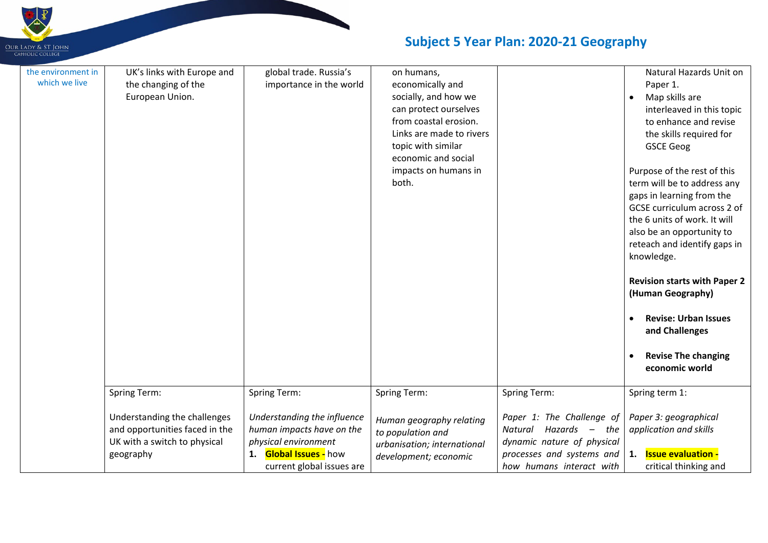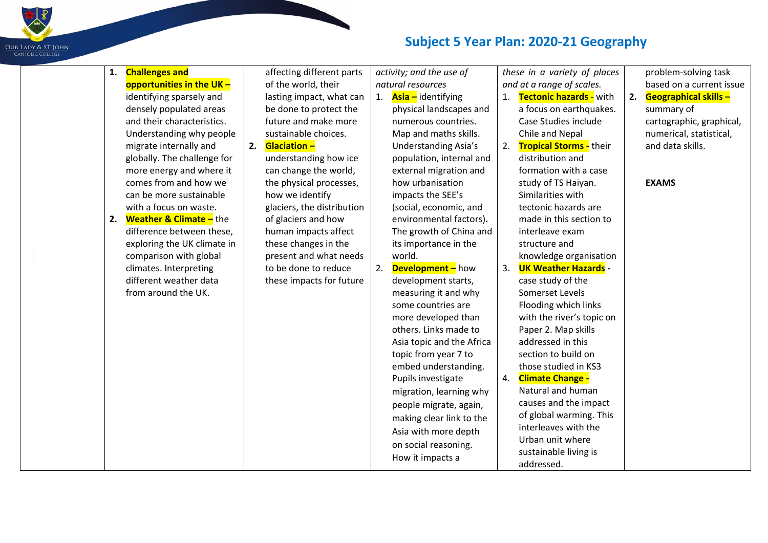

| 1. | <b>Challenges and</b>              |    | affecting different parts  |    | activity; and the use of    |    | these in a variety of places   |    | problem-solving task         |
|----|------------------------------------|----|----------------------------|----|-----------------------------|----|--------------------------------|----|------------------------------|
|    | opportunities in the UK-           |    | of the world, their        |    | natural resources           |    | and at a range of scales.      |    | based on a current issue     |
|    | identifying sparsely and           |    | lasting impact, what can   |    | 1. Asia - identifying       | 1. | <b>Tectonic hazards -</b> with | 2. | <b>Geographical skills -</b> |
|    | densely populated areas            |    | be done to protect the     |    | physical landscapes and     |    | a focus on earthquakes.        |    | summary of                   |
|    | and their characteristics.         |    | future and make more       |    | numerous countries.         |    | Case Studies include           |    | cartographic, graphical,     |
|    | Understanding why people           |    | sustainable choices.       |    | Map and maths skills.       |    | Chile and Nepal                |    | numerical, statistical,      |
|    | migrate internally and             | 2. | <b>Glaciation -</b>        |    | <b>Understanding Asia's</b> | 2. | <b>Tropical Storms - their</b> |    | and data skills.             |
|    | globally. The challenge for        |    | understanding how ice      |    | population, internal and    |    | distribution and               |    |                              |
|    | more energy and where it           |    | can change the world,      |    | external migration and      |    | formation with a case          |    |                              |
|    | comes from and how we              |    | the physical processes,    |    | how urbanisation            |    | study of TS Haiyan.            |    | <b>EXAMS</b>                 |
|    | can be more sustainable            |    | how we identify            |    | impacts the SEE's           |    | Similarities with              |    |                              |
|    | with a focus on waste.             |    | glaciers, the distribution |    | (social, economic, and      |    | tectonic hazards are           |    |                              |
| 2. | <b>Weather &amp; Climate -</b> the |    | of glaciers and how        |    | environmental factors).     |    | made in this section to        |    |                              |
|    | difference between these,          |    | human impacts affect       |    | The growth of China and     |    | interleave exam                |    |                              |
|    | exploring the UK climate in        |    | these changes in the       |    | its importance in the       |    | structure and                  |    |                              |
|    | comparison with global             |    | present and what needs     |    | world.                      |    | knowledge organisation         |    |                              |
|    | climates. Interpreting             |    | to be done to reduce       | 2. | <b>Development-</b> how     | 3. | <b>UK Weather Hazards -</b>    |    |                              |
|    | different weather data             |    | these impacts for future   |    | development starts,         |    | case study of the              |    |                              |
|    | from around the UK.                |    |                            |    | measuring it and why        |    | Somerset Levels                |    |                              |
|    |                                    |    |                            |    | some countries are          |    | Flooding which links           |    |                              |
|    |                                    |    |                            |    | more developed than         |    | with the river's topic on      |    |                              |
|    |                                    |    |                            |    | others. Links made to       |    | Paper 2. Map skills            |    |                              |
|    |                                    |    |                            |    | Asia topic and the Africa   |    | addressed in this              |    |                              |
|    |                                    |    |                            |    | topic from year 7 to        |    | section to build on            |    |                              |
|    |                                    |    |                            |    | embed understanding.        |    | those studied in KS3           |    |                              |
|    |                                    |    |                            |    | Pupils investigate          | 4. | <b>Climate Change -</b>        |    |                              |
|    |                                    |    |                            |    | migration, learning why     |    | Natural and human              |    |                              |
|    |                                    |    |                            |    | people migrate, again,      |    | causes and the impact          |    |                              |
|    |                                    |    |                            |    | making clear link to the    |    | of global warming. This        |    |                              |
|    |                                    |    |                            |    | Asia with more depth        |    | interleaves with the           |    |                              |
|    |                                    |    |                            |    | on social reasoning.        |    | Urban unit where               |    |                              |
|    |                                    |    |                            |    | How it impacts a            |    | sustainable living is          |    |                              |
|    |                                    |    |                            |    |                             |    | addressed.                     |    |                              |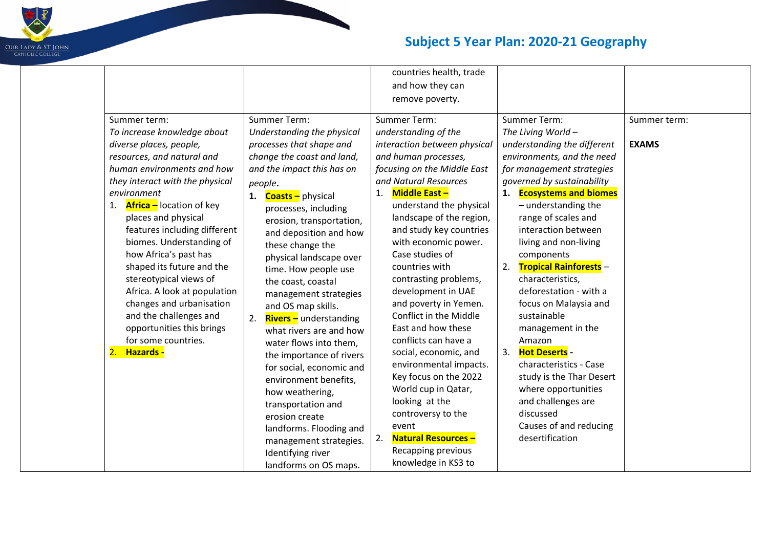

|                                       |                                     | countries health, trade          |                                     |              |
|---------------------------------------|-------------------------------------|----------------------------------|-------------------------------------|--------------|
|                                       |                                     | and how they can                 |                                     |              |
|                                       |                                     | remove poverty.                  |                                     |              |
| Summer term:                          | Summer Term:                        | <b>Summer Term:</b>              | Summer Term:                        | Summer term: |
| To increase knowledge about           | Understanding the physical          | understanding of the             | The Living World -                  |              |
| diverse places, people,               | processes that shape and            | interaction between physical     | understanding the different         | <b>EXAMS</b> |
| resources, and natural and            | change the coast and land,          | and human processes,             | environments, and the need          |              |
| human environments and how            | and the impact this has on          | focusing on the Middle East      | for management strategies           |              |
| they interact with the physical       | people.                             | and Natural Resources            | governed by sustainability          |              |
| environment                           | 1. <b>Coasts</b> - physical         | <b>Middle East -</b><br>1.       | 1. Ecosystems and biomes            |              |
| <b>Africa</b> – location of key<br>1. | processes, including                | understand the physical          | $-$ understanding the               |              |
| places and physical                   | erosion, transportation,            | landscape of the region,         | range of scales and                 |              |
| features including different          | and deposition and how              | and study key countries          | interaction between                 |              |
| biomes. Understanding of              | these change the                    | with economic power.             | living and non-living               |              |
| how Africa's past has                 | physical landscape over             | Case studies of                  | components                          |              |
| shaped its future and the             | time. How people use                | countries with                   | <b>Tropical Rainforests -</b><br>2. |              |
| stereotypical views of                | the coast, coastal                  | contrasting problems,            | characteristics,                    |              |
| Africa. A look at population          | management strategies               | development in UAE               | deforestation - with a              |              |
| changes and urbanisation              | and OS map skills.                  | and poverty in Yemen.            | focus on Malaysia and               |              |
| and the challenges and                | <b>Rivers</b> - understanding<br>2. | Conflict in the Middle           | sustainable                         |              |
| opportunities this brings             | what rivers are and how             | East and how these               | management in the                   |              |
| for some countries.                   | water flows into them,              | conflicts can have a             | Amazon                              |              |
| 2.<br>Hazards -                       | the importance of rivers            | social, economic, and            | 3. Hot Deserts -                    |              |
|                                       | for social, economic and            | environmental impacts.           | characteristics - Case              |              |
|                                       | environment benefits,               | Key focus on the 2022            | study is the Thar Desert            |              |
|                                       | how weathering,                     | World cup in Qatar,              | where opportunities                 |              |
|                                       | transportation and                  | looking at the                   | and challenges are                  |              |
|                                       | erosion create                      | controversy to the               | discussed                           |              |
|                                       | landforms. Flooding and             | event                            | Causes of and reducing              |              |
|                                       | management strategies.              | <b>Natural Resources -</b><br>2. | desertification                     |              |
|                                       | Identifying river                   | Recapping previous               |                                     |              |
|                                       | landforms on OS maps.               | knowledge in KS3 to              |                                     |              |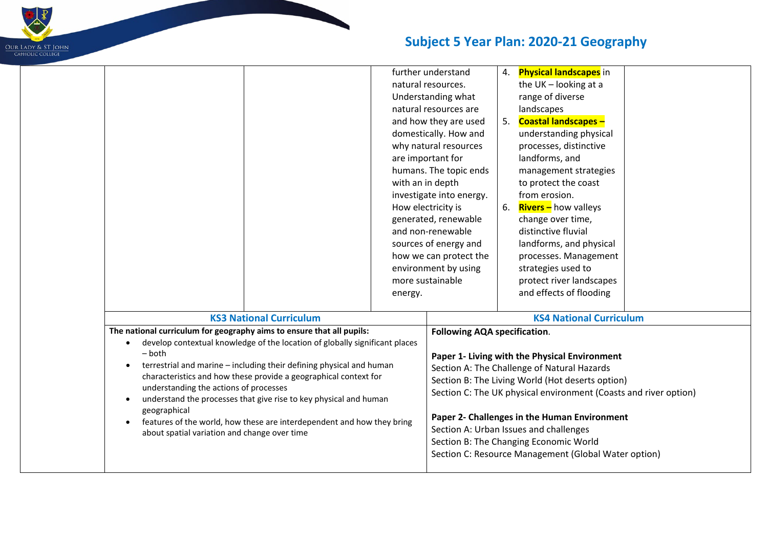

| further understand<br>4. Physical landscapes in<br>the $UK$ – looking at a<br>natural resources.<br>Understanding what<br>range of diverse<br>landscapes<br>natural resources are<br><b>Coastal landscapes -</b><br>and how they are used<br>domestically. How and<br>understanding physical<br>why natural resources<br>processes, distinctive<br>landforms, and<br>are important for<br>humans. The topic ends<br>management strategies<br>with an in depth<br>to protect the coast<br>from erosion.<br>investigate into energy.<br><b>Rivers</b> – how valleys<br>How electricity is<br>6.<br>generated, renewable<br>change over time,<br>and non-renewable<br>distinctive fluvial<br>sources of energy and<br>landforms, and physical<br>how we can protect the<br>processes. Management<br>strategies used to<br>environment by using<br>more sustainable<br>protect river landscapes<br>and effects of flooding<br>energy.<br><b>KS3 National Curriculum</b><br><b>KS4 National Curriculum</b><br>The national curriculum for geography aims to ensure that all pupils:<br><b>Following AQA specification.</b><br>develop contextual knowledge of the location of globally significant places<br>٠<br>- both<br>Paper 1- Living with the Physical Environment<br>terrestrial and marine - including their defining physical and human<br>$\bullet$<br>Section A: The Challenge of Natural Hazards<br>characteristics and how these provide a geographical context for<br>Section B: The Living World (Hot deserts option)<br>understanding the actions of processes<br>Section C: The UK physical environment (Coasts and river option)<br>understand the processes that give rise to key physical and human<br>$\bullet$<br>geographical<br>Paper 2- Challenges in the Human Environment<br>features of the world, how these are interdependent and how they bring<br>$\bullet$<br>Section A: Urban Issues and challenges<br>about spatial variation and change over time<br>Section B: The Changing Economic World | Section C: Resource Management (Global Water option) |  |  |  |  |
|-----------------------------------------------------------------------------------------------------------------------------------------------------------------------------------------------------------------------------------------------------------------------------------------------------------------------------------------------------------------------------------------------------------------------------------------------------------------------------------------------------------------------------------------------------------------------------------------------------------------------------------------------------------------------------------------------------------------------------------------------------------------------------------------------------------------------------------------------------------------------------------------------------------------------------------------------------------------------------------------------------------------------------------------------------------------------------------------------------------------------------------------------------------------------------------------------------------------------------------------------------------------------------------------------------------------------------------------------------------------------------------------------------------------------------------------------------------------------------------------------------------------------------------------------------------------------------------------------------------------------------------------------------------------------------------------------------------------------------------------------------------------------------------------------------------------------------------------------------------------------------------------------------------------------------------------------------------------------------------------------------------------------------|------------------------------------------------------|--|--|--|--|
|                                                                                                                                                                                                                                                                                                                                                                                                                                                                                                                                                                                                                                                                                                                                                                                                                                                                                                                                                                                                                                                                                                                                                                                                                                                                                                                                                                                                                                                                                                                                                                                                                                                                                                                                                                                                                                                                                                                                                                                                                             |                                                      |  |  |  |  |
|                                                                                                                                                                                                                                                                                                                                                                                                                                                                                                                                                                                                                                                                                                                                                                                                                                                                                                                                                                                                                                                                                                                                                                                                                                                                                                                                                                                                                                                                                                                                                                                                                                                                                                                                                                                                                                                                                                                                                                                                                             |                                                      |  |  |  |  |
|                                                                                                                                                                                                                                                                                                                                                                                                                                                                                                                                                                                                                                                                                                                                                                                                                                                                                                                                                                                                                                                                                                                                                                                                                                                                                                                                                                                                                                                                                                                                                                                                                                                                                                                                                                                                                                                                                                                                                                                                                             |                                                      |  |  |  |  |
|                                                                                                                                                                                                                                                                                                                                                                                                                                                                                                                                                                                                                                                                                                                                                                                                                                                                                                                                                                                                                                                                                                                                                                                                                                                                                                                                                                                                                                                                                                                                                                                                                                                                                                                                                                                                                                                                                                                                                                                                                             |                                                      |  |  |  |  |
|                                                                                                                                                                                                                                                                                                                                                                                                                                                                                                                                                                                                                                                                                                                                                                                                                                                                                                                                                                                                                                                                                                                                                                                                                                                                                                                                                                                                                                                                                                                                                                                                                                                                                                                                                                                                                                                                                                                                                                                                                             |                                                      |  |  |  |  |
|                                                                                                                                                                                                                                                                                                                                                                                                                                                                                                                                                                                                                                                                                                                                                                                                                                                                                                                                                                                                                                                                                                                                                                                                                                                                                                                                                                                                                                                                                                                                                                                                                                                                                                                                                                                                                                                                                                                                                                                                                             |                                                      |  |  |  |  |
|                                                                                                                                                                                                                                                                                                                                                                                                                                                                                                                                                                                                                                                                                                                                                                                                                                                                                                                                                                                                                                                                                                                                                                                                                                                                                                                                                                                                                                                                                                                                                                                                                                                                                                                                                                                                                                                                                                                                                                                                                             |                                                      |  |  |  |  |
|                                                                                                                                                                                                                                                                                                                                                                                                                                                                                                                                                                                                                                                                                                                                                                                                                                                                                                                                                                                                                                                                                                                                                                                                                                                                                                                                                                                                                                                                                                                                                                                                                                                                                                                                                                                                                                                                                                                                                                                                                             |                                                      |  |  |  |  |
|                                                                                                                                                                                                                                                                                                                                                                                                                                                                                                                                                                                                                                                                                                                                                                                                                                                                                                                                                                                                                                                                                                                                                                                                                                                                                                                                                                                                                                                                                                                                                                                                                                                                                                                                                                                                                                                                                                                                                                                                                             |                                                      |  |  |  |  |
|                                                                                                                                                                                                                                                                                                                                                                                                                                                                                                                                                                                                                                                                                                                                                                                                                                                                                                                                                                                                                                                                                                                                                                                                                                                                                                                                                                                                                                                                                                                                                                                                                                                                                                                                                                                                                                                                                                                                                                                                                             |                                                      |  |  |  |  |
|                                                                                                                                                                                                                                                                                                                                                                                                                                                                                                                                                                                                                                                                                                                                                                                                                                                                                                                                                                                                                                                                                                                                                                                                                                                                                                                                                                                                                                                                                                                                                                                                                                                                                                                                                                                                                                                                                                                                                                                                                             |                                                      |  |  |  |  |
|                                                                                                                                                                                                                                                                                                                                                                                                                                                                                                                                                                                                                                                                                                                                                                                                                                                                                                                                                                                                                                                                                                                                                                                                                                                                                                                                                                                                                                                                                                                                                                                                                                                                                                                                                                                                                                                                                                                                                                                                                             |                                                      |  |  |  |  |
|                                                                                                                                                                                                                                                                                                                                                                                                                                                                                                                                                                                                                                                                                                                                                                                                                                                                                                                                                                                                                                                                                                                                                                                                                                                                                                                                                                                                                                                                                                                                                                                                                                                                                                                                                                                                                                                                                                                                                                                                                             |                                                      |  |  |  |  |
|                                                                                                                                                                                                                                                                                                                                                                                                                                                                                                                                                                                                                                                                                                                                                                                                                                                                                                                                                                                                                                                                                                                                                                                                                                                                                                                                                                                                                                                                                                                                                                                                                                                                                                                                                                                                                                                                                                                                                                                                                             |                                                      |  |  |  |  |
|                                                                                                                                                                                                                                                                                                                                                                                                                                                                                                                                                                                                                                                                                                                                                                                                                                                                                                                                                                                                                                                                                                                                                                                                                                                                                                                                                                                                                                                                                                                                                                                                                                                                                                                                                                                                                                                                                                                                                                                                                             |                                                      |  |  |  |  |
|                                                                                                                                                                                                                                                                                                                                                                                                                                                                                                                                                                                                                                                                                                                                                                                                                                                                                                                                                                                                                                                                                                                                                                                                                                                                                                                                                                                                                                                                                                                                                                                                                                                                                                                                                                                                                                                                                                                                                                                                                             |                                                      |  |  |  |  |
|                                                                                                                                                                                                                                                                                                                                                                                                                                                                                                                                                                                                                                                                                                                                                                                                                                                                                                                                                                                                                                                                                                                                                                                                                                                                                                                                                                                                                                                                                                                                                                                                                                                                                                                                                                                                                                                                                                                                                                                                                             |                                                      |  |  |  |  |
|                                                                                                                                                                                                                                                                                                                                                                                                                                                                                                                                                                                                                                                                                                                                                                                                                                                                                                                                                                                                                                                                                                                                                                                                                                                                                                                                                                                                                                                                                                                                                                                                                                                                                                                                                                                                                                                                                                                                                                                                                             |                                                      |  |  |  |  |
|                                                                                                                                                                                                                                                                                                                                                                                                                                                                                                                                                                                                                                                                                                                                                                                                                                                                                                                                                                                                                                                                                                                                                                                                                                                                                                                                                                                                                                                                                                                                                                                                                                                                                                                                                                                                                                                                                                                                                                                                                             |                                                      |  |  |  |  |
|                                                                                                                                                                                                                                                                                                                                                                                                                                                                                                                                                                                                                                                                                                                                                                                                                                                                                                                                                                                                                                                                                                                                                                                                                                                                                                                                                                                                                                                                                                                                                                                                                                                                                                                                                                                                                                                                                                                                                                                                                             |                                                      |  |  |  |  |
|                                                                                                                                                                                                                                                                                                                                                                                                                                                                                                                                                                                                                                                                                                                                                                                                                                                                                                                                                                                                                                                                                                                                                                                                                                                                                                                                                                                                                                                                                                                                                                                                                                                                                                                                                                                                                                                                                                                                                                                                                             |                                                      |  |  |  |  |
|                                                                                                                                                                                                                                                                                                                                                                                                                                                                                                                                                                                                                                                                                                                                                                                                                                                                                                                                                                                                                                                                                                                                                                                                                                                                                                                                                                                                                                                                                                                                                                                                                                                                                                                                                                                                                                                                                                                                                                                                                             |                                                      |  |  |  |  |
|                                                                                                                                                                                                                                                                                                                                                                                                                                                                                                                                                                                                                                                                                                                                                                                                                                                                                                                                                                                                                                                                                                                                                                                                                                                                                                                                                                                                                                                                                                                                                                                                                                                                                                                                                                                                                                                                                                                                                                                                                             |                                                      |  |  |  |  |
|                                                                                                                                                                                                                                                                                                                                                                                                                                                                                                                                                                                                                                                                                                                                                                                                                                                                                                                                                                                                                                                                                                                                                                                                                                                                                                                                                                                                                                                                                                                                                                                                                                                                                                                                                                                                                                                                                                                                                                                                                             |                                                      |  |  |  |  |
|                                                                                                                                                                                                                                                                                                                                                                                                                                                                                                                                                                                                                                                                                                                                                                                                                                                                                                                                                                                                                                                                                                                                                                                                                                                                                                                                                                                                                                                                                                                                                                                                                                                                                                                                                                                                                                                                                                                                                                                                                             |                                                      |  |  |  |  |
|                                                                                                                                                                                                                                                                                                                                                                                                                                                                                                                                                                                                                                                                                                                                                                                                                                                                                                                                                                                                                                                                                                                                                                                                                                                                                                                                                                                                                                                                                                                                                                                                                                                                                                                                                                                                                                                                                                                                                                                                                             |                                                      |  |  |  |  |
|                                                                                                                                                                                                                                                                                                                                                                                                                                                                                                                                                                                                                                                                                                                                                                                                                                                                                                                                                                                                                                                                                                                                                                                                                                                                                                                                                                                                                                                                                                                                                                                                                                                                                                                                                                                                                                                                                                                                                                                                                             |                                                      |  |  |  |  |
|                                                                                                                                                                                                                                                                                                                                                                                                                                                                                                                                                                                                                                                                                                                                                                                                                                                                                                                                                                                                                                                                                                                                                                                                                                                                                                                                                                                                                                                                                                                                                                                                                                                                                                                                                                                                                                                                                                                                                                                                                             |                                                      |  |  |  |  |
|                                                                                                                                                                                                                                                                                                                                                                                                                                                                                                                                                                                                                                                                                                                                                                                                                                                                                                                                                                                                                                                                                                                                                                                                                                                                                                                                                                                                                                                                                                                                                                                                                                                                                                                                                                                                                                                                                                                                                                                                                             |                                                      |  |  |  |  |
|                                                                                                                                                                                                                                                                                                                                                                                                                                                                                                                                                                                                                                                                                                                                                                                                                                                                                                                                                                                                                                                                                                                                                                                                                                                                                                                                                                                                                                                                                                                                                                                                                                                                                                                                                                                                                                                                                                                                                                                                                             |                                                      |  |  |  |  |
|                                                                                                                                                                                                                                                                                                                                                                                                                                                                                                                                                                                                                                                                                                                                                                                                                                                                                                                                                                                                                                                                                                                                                                                                                                                                                                                                                                                                                                                                                                                                                                                                                                                                                                                                                                                                                                                                                                                                                                                                                             |                                                      |  |  |  |  |
|                                                                                                                                                                                                                                                                                                                                                                                                                                                                                                                                                                                                                                                                                                                                                                                                                                                                                                                                                                                                                                                                                                                                                                                                                                                                                                                                                                                                                                                                                                                                                                                                                                                                                                                                                                                                                                                                                                                                                                                                                             |                                                      |  |  |  |  |
|                                                                                                                                                                                                                                                                                                                                                                                                                                                                                                                                                                                                                                                                                                                                                                                                                                                                                                                                                                                                                                                                                                                                                                                                                                                                                                                                                                                                                                                                                                                                                                                                                                                                                                                                                                                                                                                                                                                                                                                                                             |                                                      |  |  |  |  |